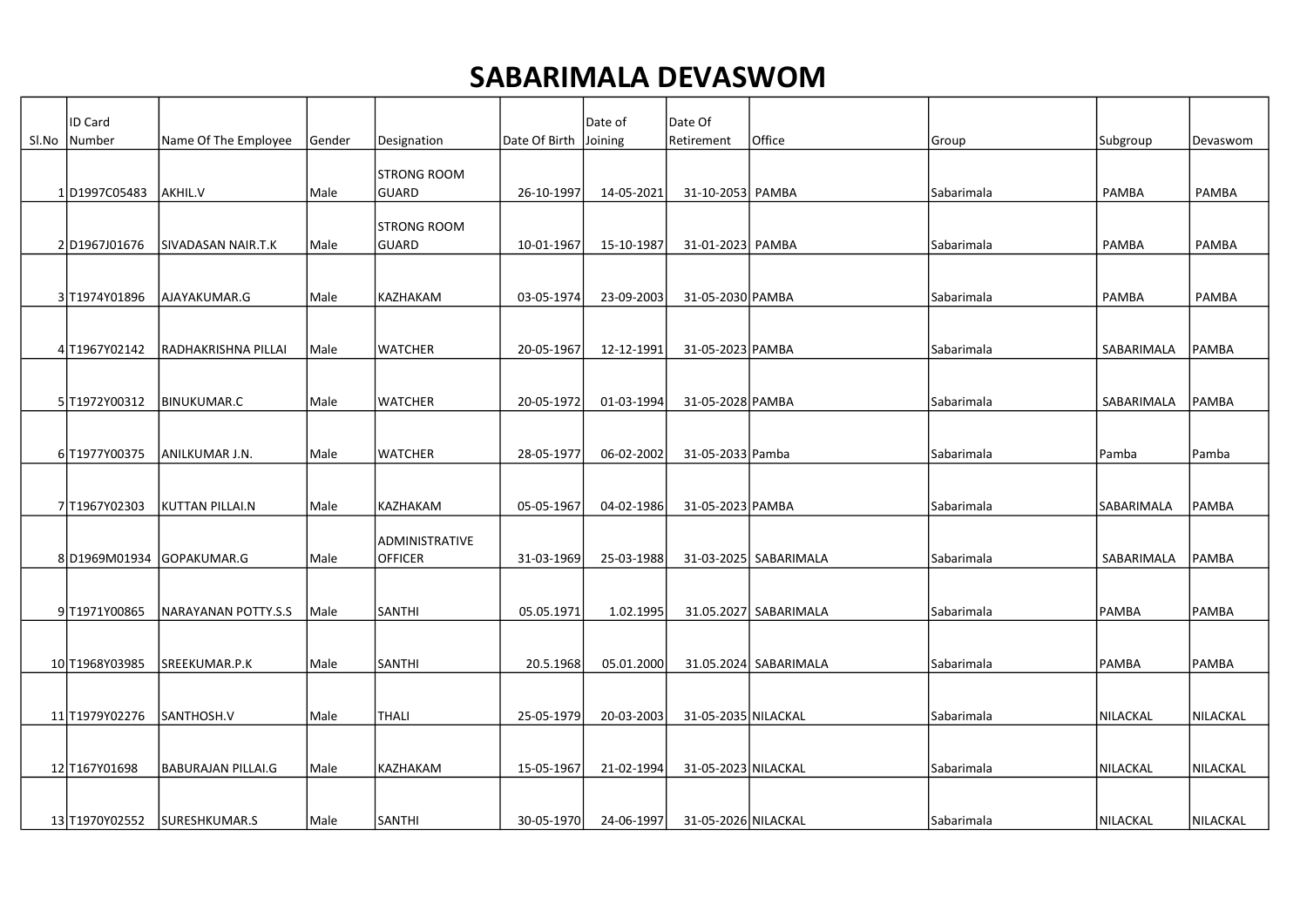## SABARIMALA DEVASWOM

| <b>ID Card</b> |                           |        |                                    |                       | Date of    | Date Of             |                       |                   |              |               |
|----------------|---------------------------|--------|------------------------------------|-----------------------|------------|---------------------|-----------------------|-------------------|--------------|---------------|
| SI.No   Number | Name Of The Employee      | Gender | Designation                        | Date Of Birth Joining |            | Retirement          | Office                | Group             | Subgroup     | Devaswom      |
| 1D1997C05483   | AKHIL.V                   | Male   | ISTRONG ROOM<br>GUARD              | 26-10-1997            | 14-05-2021 | 31-10-2053 PAMBA    |                       | Sabarimala        | PAMBA        | PAMBA         |
|                |                           |        |                                    |                       |            |                     |                       |                   |              |               |
| 2 D1967J01676  | SIVADASAN NAIR.T.K        | Male   | <b>STRONG ROOM</b><br><b>GUARD</b> | 10-01-1967            | 15-10-1987 | 31-01-2023 PAMBA    |                       | Sabarimala        | PAMBA        | PAMBA         |
| 3 T1974Y01896  | AJAYAKUMAR.G              | Male   | KAZHAKAM                           | 03-05-1974            | 23-09-2003 | 31-05-2030 PAMBA    |                       | Sabarimala        | <b>PAMBA</b> | PAMBA         |
| 4 T1967Y02142  | RADHAKRISHNA PILLAI       | Male   | <b>WATCHER</b>                     | 20-05-1967            | 12-12-1991 | 31-05-2023 PAMBA    |                       | Sabarimala        | SABARIMALA   | PAMBA         |
| 5 T1972Y00312  | <b>BINUKUMAR.C</b>        | Male   | <b>WATCHER</b>                     | 20-05-1972            | 01-03-1994 | 31-05-2028 PAMBA    |                       | Sabarimala        | SABARIMALA   | PAMBA         |
| 6T1977Y00375   | ANILKUMAR J.N.            | Male   | <b>WATCHER</b>                     | 28-05-1977            | 06-02-2002 | 31-05-2033 Pamba    |                       | Sabarimala        | Pamba        | Pamba         |
| 7T1967Y02303   | <b>KUTTAN PILLAI.N</b>    | Male   | KAZHAKAM                           | 05-05-1967            | 04-02-1986 | 31-05-2023 PAMBA    |                       | Sabarimala        | ISABARIMALA  | <b>IPAMBA</b> |
|                | 8 D1969M01934 GOPAKUMAR.G | Male   | ADMINISTRATIVE<br><b>OFFICER</b>   | 31-03-1969            | 25-03-1988 |                     | 31-03-2025 SABARIMALA | Sabarimala        | SABARIMALA   | PAMBA         |
| 9 T1971Y00865  | NARAYANAN POTTY.S.S       | Male   | <b>SANTHI</b>                      | 05.05.1971            | 1.02.1995  |                     | 31.05.2027 SABARIMALA | Sabarimala        | <b>PAMBA</b> | <b>PAMBA</b>  |
| 10 T1968Y03985 | SREEKUMAR.P.K             | Male   | <b>SANTHI</b>                      | 20.5.1968             | 05.01.2000 |                     | 31.05.2024 SABARIMALA | <b>Sabarimala</b> | PAMBA        | PAMBA         |
| 11 T1979Y02276 | SANTHOSH.V                | Male   | <b>THALI</b>                       | 25-05-1979            | 20-03-2003 | 31-05-2035 NILACKAL |                       | Sabarimala        | NILACKAL     | NILACKAL      |
| 12 T167Y01698  | <b>BABURAJAN PILLAI.G</b> | Male   | KAZHAKAM                           | 15-05-1967            | 21-02-1994 | 31-05-2023 NILACKAL |                       | Sabarimala        | NILACKAL     | NILACKAL      |
| 13 T1970Y02552 | SURESHKUMAR.S             | Male   | <b>SANTHI</b>                      | 30-05-1970            | 24-06-1997 | 31-05-2026 NILACKAL |                       | <b>Sabarimala</b> | NILACKAL     | NILACKAL      |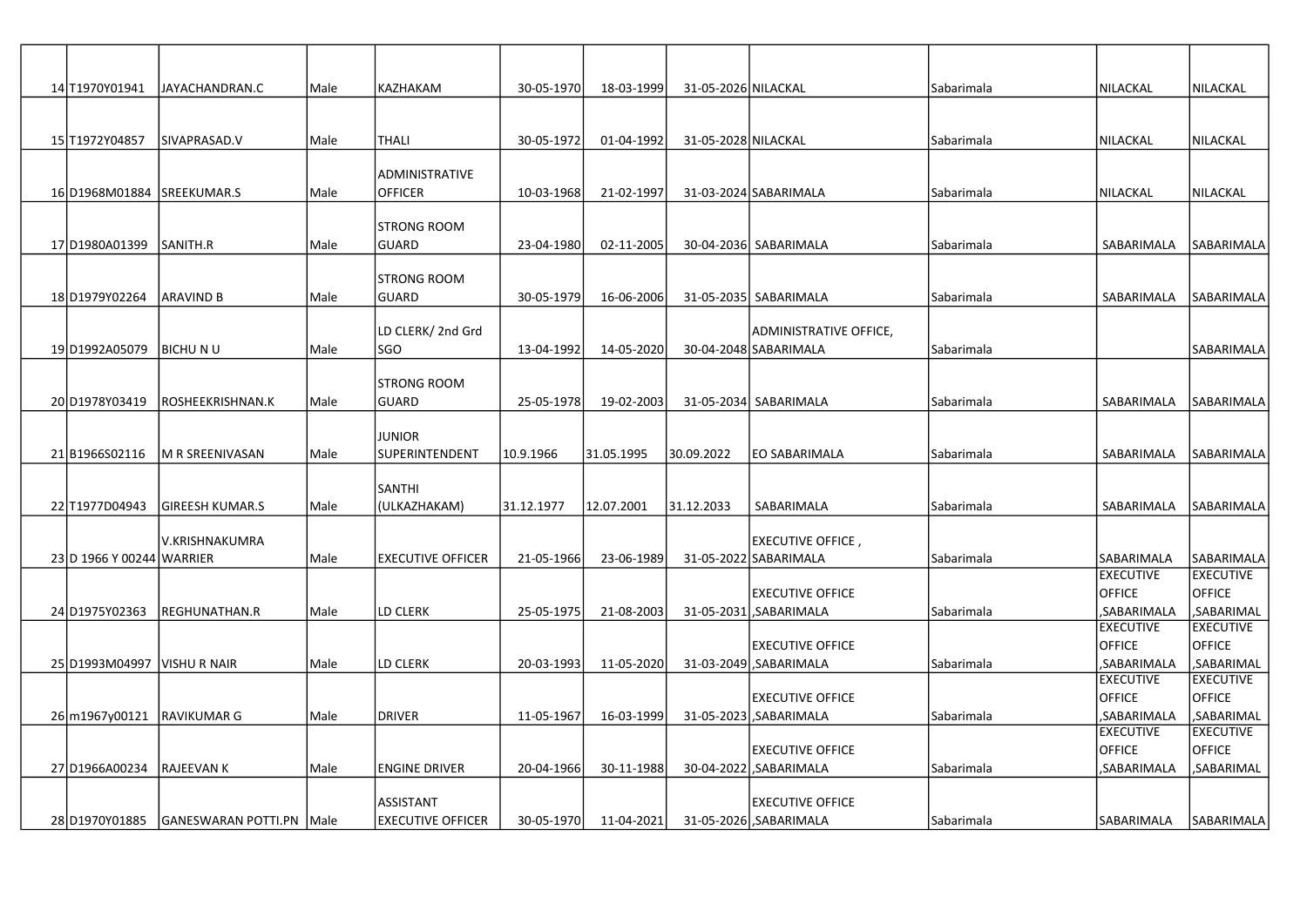| 14 T1970Y01941              | JAYACHANDRAN.C                  | Male | KAZHAKAM                 | 30-05-1970 | 18-03-1999 | 31-05-2026 NILACKAL |                               | Sabarimala | NILACKAL                        | <b>NILACKAL</b>                |
|-----------------------------|---------------------------------|------|--------------------------|------------|------------|---------------------|-------------------------------|------------|---------------------------------|--------------------------------|
|                             |                                 |      |                          |            |            |                     |                               |            |                                 |                                |
|                             |                                 |      |                          |            |            |                     |                               |            |                                 |                                |
| 15 T1972Y04857              | SIVAPRASAD.V                    | Male | <b>THALI</b>             | 30-05-1972 | 01-04-1992 | 31-05-2028 NILACKAL |                               | Sabarimala | NILACKAL                        | NILACKAL                       |
|                             |                                 |      |                          |            |            |                     |                               |            |                                 |                                |
|                             |                                 |      | <b>ADMINISTRATIVE</b>    |            |            |                     |                               |            |                                 |                                |
| 16 D1968M01884              | SREEKUMAR.S                     | Male | <b>OFFICER</b>           | 10-03-1968 | 21-02-1997 |                     | 31-03-2024 SABARIMALA         | Sabarimala | NILACKAL                        | İNILACKAL                      |
|                             |                                 |      | <b>STRONG ROOM</b>       |            |            |                     |                               |            |                                 |                                |
| 17 D1980A01399              | SANITH.R                        | Male | <b>GUARD</b>             | 23-04-1980 | 02-11-2005 |                     | 30-04-2036 SABARIMALA         | Sabarimala | SABARIMALA                      | lsabarımala                    |
|                             |                                 |      |                          |            |            |                     |                               |            |                                 |                                |
|                             |                                 |      | <b>STRONG ROOM</b>       |            |            |                     |                               |            |                                 |                                |
| 18 D1979Y02264              | IARAVIND B                      | Male | <b>GUARD</b>             | 30-05-1979 | 16-06-2006 |                     | 31-05-2035 SABARIMALA         | Sabarimala | SABARIMALA                      | lsabarımala                    |
|                             |                                 |      |                          |            |            |                     |                               |            |                                 |                                |
|                             |                                 |      | LD CLERK/ 2nd Grd        |            |            |                     | <b>ADMINISTRATIVE OFFICE,</b> |            |                                 |                                |
| 19 D1992A05079              | <b>BICHUNU</b>                  | Male | SGO                      | 13-04-1992 | 14-05-2020 |                     | 30-04-2048 SABARIMALA         | Sabarimala |                                 | SABARIMALA                     |
|                             |                                 |      | <b>STRONG ROOM</b>       |            |            |                     |                               |            |                                 |                                |
| 20 D1978Y03419              | ROSHEEKRISHNAN.K                | Male | <b>GUARD</b>             | 25-05-1978 | 19-02-2003 |                     | 31-05-2034 SABARIMALA         | Sabarimala | SABARIMALA                      | lsabarımala                    |
|                             |                                 |      |                          |            |            |                     |                               |            |                                 |                                |
|                             |                                 |      | <b>JUNIOR</b>            |            |            |                     |                               |            |                                 |                                |
| 21 B1966 S02116             | M R SREENIVASAN                 | Male | SUPERINTENDENT           | 10.9.1966  | 31.05.1995 | 30.09.2022          | EO SABARIMALA                 | Sabarimala | SABARIMALA                      | lsabarımala                    |
|                             |                                 |      |                          |            |            |                     |                               |            |                                 |                                |
|                             |                                 |      | <b>SANTHI</b>            |            |            |                     |                               |            |                                 |                                |
| 22 T1977D04943              | <b>GIREESH KUMAR.S</b>          | Male | (ULKAZHAKAM)             | 31.12.1977 | 12.07.2001 | 31.12.2033          | SABARIMALA                    | Sabarimala | SABARIMALA                      | lsabarımala                    |
|                             | V.KRISHNAKUMRA                  |      |                          |            |            |                     | , EXECUTIVE OFFICE            |            |                                 |                                |
| 23 D 1966 Y 00244 WARRIER   |                                 | Male | <b>EXECUTIVE OFFICER</b> | 21-05-1966 | 23-06-1989 |                     | 31-05-2022 SABARIMALA         | Sabarimala | SABARIMALA                      | <b>SABARIMALA</b>              |
|                             |                                 |      |                          |            |            |                     |                               |            | <b>EXECUTIVE</b>                | <b>EXECUTIVE</b>               |
|                             |                                 |      |                          |            |            |                     | IEXECUTIVE OFFICE             |            | <b>OFFICE</b>                   | <b>OFFICE</b>                  |
| 24 D1975 Y02363             | <b>REGHUNATHAN.R</b>            | Male | LD CLERK                 | 25-05-1975 | 21-08-2003 |                     | 31-05-2031 SABARIMALA         | Sabarimala | SABARIMALA,                     | ,SABARIMAL                     |
|                             |                                 |      |                          |            |            |                     |                               |            | <b>EXECUTIVE</b>                | <b>EXECUTIVE</b>               |
|                             |                                 |      |                          |            |            |                     | <b>EXECUTIVE OFFICE</b>       |            | <b>OFFICE</b>                   | <b>OFFICE</b>                  |
| 25 D1993M04997 VISHU R NAIR |                                 | Male | LD CLERK                 | 20-03-1993 | 11-05-2020 |                     | 31-03-2049 SABARIMALA         | Sabarimala | ,SABARIMALA<br><b>EXECUTIVE</b> | ,SABARIMAL<br><b>EXECUTIVE</b> |
|                             |                                 |      |                          |            |            |                     | <b>EXECUTIVE OFFICE</b>       |            | <b>OFFICE</b>                   | <b>OFFICE</b>                  |
| 26 m1967y00121              | <b>RAVIKUMAR G</b>              | Male | <b>DRIVER</b>            | 11-05-1967 | 16-03-1999 |                     | 31-05-2023 SABARIMALA         | Sabarimala | ,SABARIMALA                     | ,SABARIMAL                     |
|                             |                                 |      |                          |            |            |                     |                               |            | <b>EXECUTIVE</b>                | <b>EXECUTIVE</b>               |
|                             |                                 |      |                          |            |            |                     | <b>EXECUTIVE OFFICE</b>       |            | <b>OFFICE</b>                   | <b>OFFICE</b>                  |
| 27 D1966A00234              | <b>RAJEEVAN K</b>               | Male | <b>ENGINE DRIVER</b>     | 20-04-1966 | 30-11-1988 |                     | 30-04-2022 SABARIMALA         | Sabarimala | ,SABARIMALA                     | ,SABARIMAL                     |
|                             |                                 |      |                          |            |            |                     |                               |            |                                 |                                |
|                             |                                 |      | ASSISTANT                |            |            |                     | <b>EXECUTIVE OFFICE</b>       |            |                                 |                                |
| 28 D1970Y01885              | <b>GANESWARAN POTTI.PN Male</b> |      | <b>EXECUTIVE OFFICER</b> | 30-05-1970 | 11-04-2021 |                     | 31-05-2026 SABARIMALA         | Sabarimala | SABARIMALA                      | <b>SABARIMALA</b>              |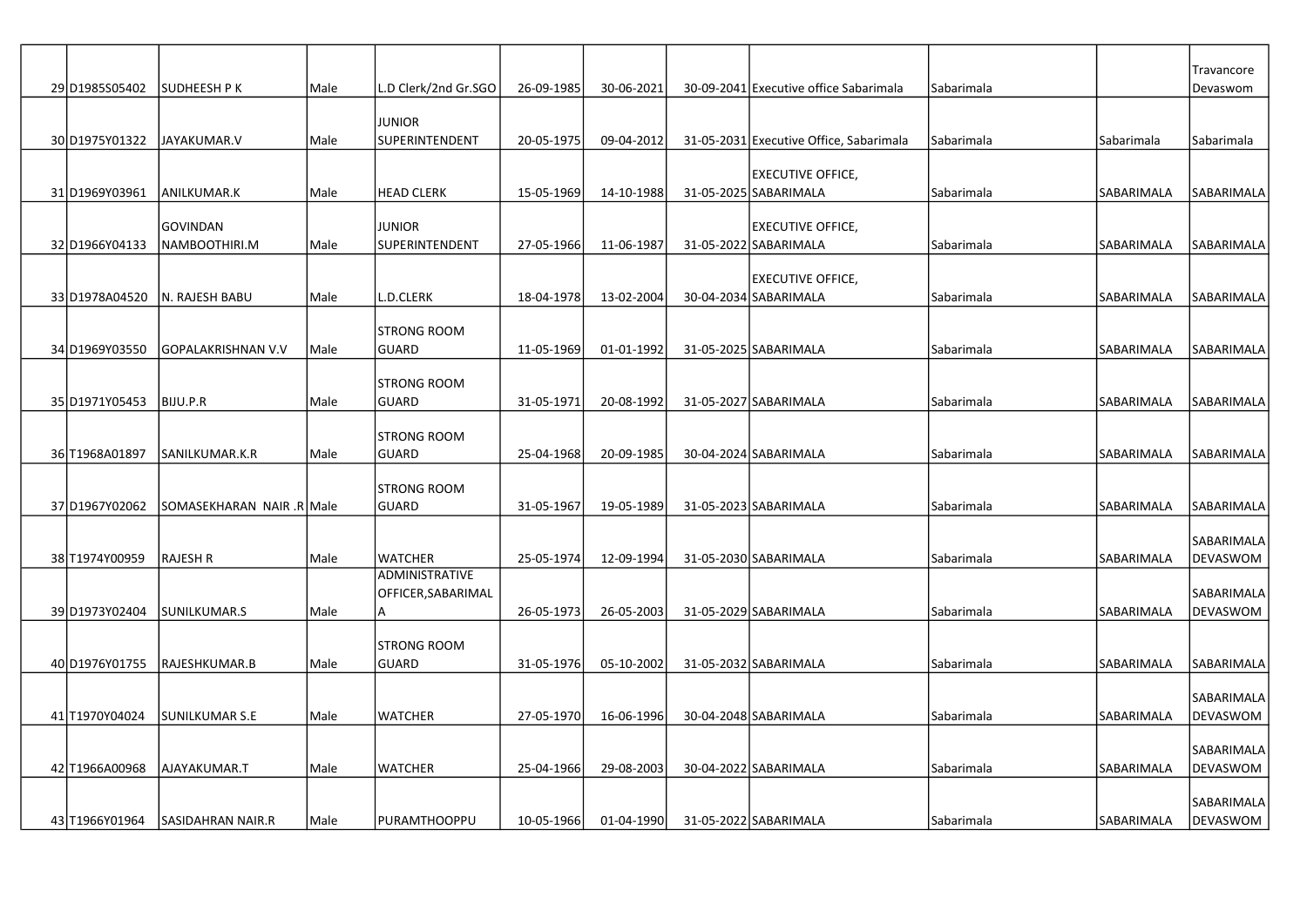|                 |                           |      |                                         |            |            |                                         |            |            | Travancore             |
|-----------------|---------------------------|------|-----------------------------------------|------------|------------|-----------------------------------------|------------|------------|------------------------|
| 29D1985S05402   | SUDHEESH P K              | Male | L.D Clerk/2nd Gr.SGO                    | 26-09-1985 | 30-06-2021 | 30-09-2041 Executive office Sabarimala  | Sabarimala |            | Devaswom               |
|                 |                           |      | <b>JUNIOR</b>                           |            |            |                                         |            |            |                        |
| 30 D1975 YO1322 | JAYAKUMAR.V               | Male | SUPERINTENDENT                          | 20-05-1975 | 09-04-2012 | 31-05-2031 Executive Office, Sabarimala | Sabarimala | Sabarimala | Sabarimala             |
|                 |                           |      |                                         |            |            |                                         |            |            |                        |
|                 |                           |      |                                         |            |            | <b>EXECUTIVE OFFICE,</b>                |            |            |                        |
| 31 D1969Y03961  | ANILKUMAR.K               | Male | <b>HEAD CLERK</b>                       | 15-05-1969 | 14-10-1988 | 31-05-2025 SABARIMALA                   | Sabarimala | SABARIMALA | SABARIMALA             |
|                 | <b>GOVINDAN</b>           |      | <b>JUNIOR</b>                           |            |            | <b>EXECUTIVE OFFICE,</b>                |            |            |                        |
| 32 D1966Y04133  | NAMBOOTHIRI.M             | Male | SUPERINTENDENT                          | 27-05-1966 | 11-06-1987 | 31-05-2022 SABARIMALA                   | Sabarimala | SABARIMALA | SABARIMALA             |
|                 |                           |      |                                         |            |            | <b>EXECUTIVE OFFICE,</b>                |            |            |                        |
| 33 D1978A04520  | N. RAJESH BABU            | Male | L.D.CLERK                               | 18-04-1978 | 13-02-2004 | 30-04-2034 SABARIMALA                   | Sabarimala | SABARIMALA | SABARIMALA             |
|                 |                           |      |                                         |            |            |                                         |            |            |                        |
| 34 D1969Y03550  | GOPALAKRISHNAN V.V        | Male | ISTRONG ROOM<br>GUARD                   | 11-05-1969 | 01-01-1992 | 31-05-2025 SABARIMALA                   | Sabarimala | SABARIMALA | SABARIMALA             |
|                 |                           |      |                                         |            |            |                                         |            |            |                        |
|                 |                           |      | ISTRONG ROOM                            |            |            |                                         |            |            |                        |
| 35 D1971Y05453  | BIJU.P.R                  | Male | <b>GUARD</b>                            | 31-05-1971 | 20-08-1992 | 31-05-2027 SABARIMALA                   | Sabarimala | SABARIMALA | SABARIMALA             |
|                 |                           |      | ISTRONG ROOM                            |            |            |                                         |            |            |                        |
| 36 T1968A01897  | SANILKUMAR.K.R            | Male | GUARD                                   | 25-04-1968 | 20-09-1985 | 30-04-2024 SABARIMALA                   | Sabarimala | SABARIMALA | <b>SABARIMALA</b>      |
|                 |                           |      |                                         |            |            |                                         |            |            |                        |
| 37D1967Y02062   | SOMASEKHARAN NAIR .R Male |      | ISTRONG ROOM<br><b>GUARD</b>            | 31-05-1967 | 19-05-1989 | 31-05-2023 SABARIMALA                   | Sabarimala | SABARIMALA | SABARIMALA             |
|                 |                           |      |                                         |            |            |                                         |            |            |                        |
|                 |                           |      |                                         |            |            |                                         |            |            | <b>SABARIMALA</b>      |
| 38 T1974Y00959  | <b>RAJESH R</b>           | Male | <b>WATCHER</b><br><b>ADMINISTRATIVE</b> | 25-05-1974 | 12-09-1994 | 31-05-2030 SABARIMALA                   | Sabarimala | SABARIMALA | <b>DEVASWOM</b>        |
|                 |                           |      | OFFICER, SABARIMAL                      |            |            |                                         |            |            | SABARIMALA             |
| 39 D1973Y02404  | SUNILKUMAR.S              | Male | ΙA                                      | 26-05-1973 | 26-05-2003 | 31-05-2029 SABARIMALA                   | Sabarimala | SABARIMALA | DEVASWOM               |
|                 |                           |      |                                         |            |            |                                         |            |            |                        |
| 40 D1976Y01755  | RAJESHKUMAR.B             | Male | <b>STRONG ROOM</b><br><b>GUARD</b>      | 31-05-1976 | 05-10-2002 | 31-05-2032 SABARIMALA                   | Sabarimala | SABARIMALA | SABARIMALA             |
|                 |                           |      |                                         |            |            |                                         |            |            |                        |
|                 |                           |      |                                         |            |            |                                         |            |            | SABARIMALA             |
| 41 T1970Y04024  | <b>SUNILKUMAR S.E</b>     | Male | <b>WATCHER</b>                          | 27-05-1970 | 16-06-1996 | 30-04-2048 SABARIMALA                   | Sabarimala | SABARIMALA | DEVASWOM               |
|                 |                           |      |                                         |            |            |                                         |            |            | SABARIMALA             |
| 42 T1966A00968  | AJAYAKUMAR.T              | Male | <b>WATCHER</b>                          | 25-04-1966 | 29-08-2003 | 30-04-2022 SABARIMALA                   | Sabarimala | SABARIMALA | DEVASWOM               |
|                 |                           |      |                                         |            |            |                                         |            |            |                        |
| 43 T1966Y01964  | <b>SASIDAHRAN NAIR.R</b>  | Male | PURAMTHOOPPU                            | 10-05-1966 | 01-04-1990 | 31-05-2022 SABARIMALA                   | Sabarimala | SABARIMALA | SABARIMALA<br>DEVASWOM |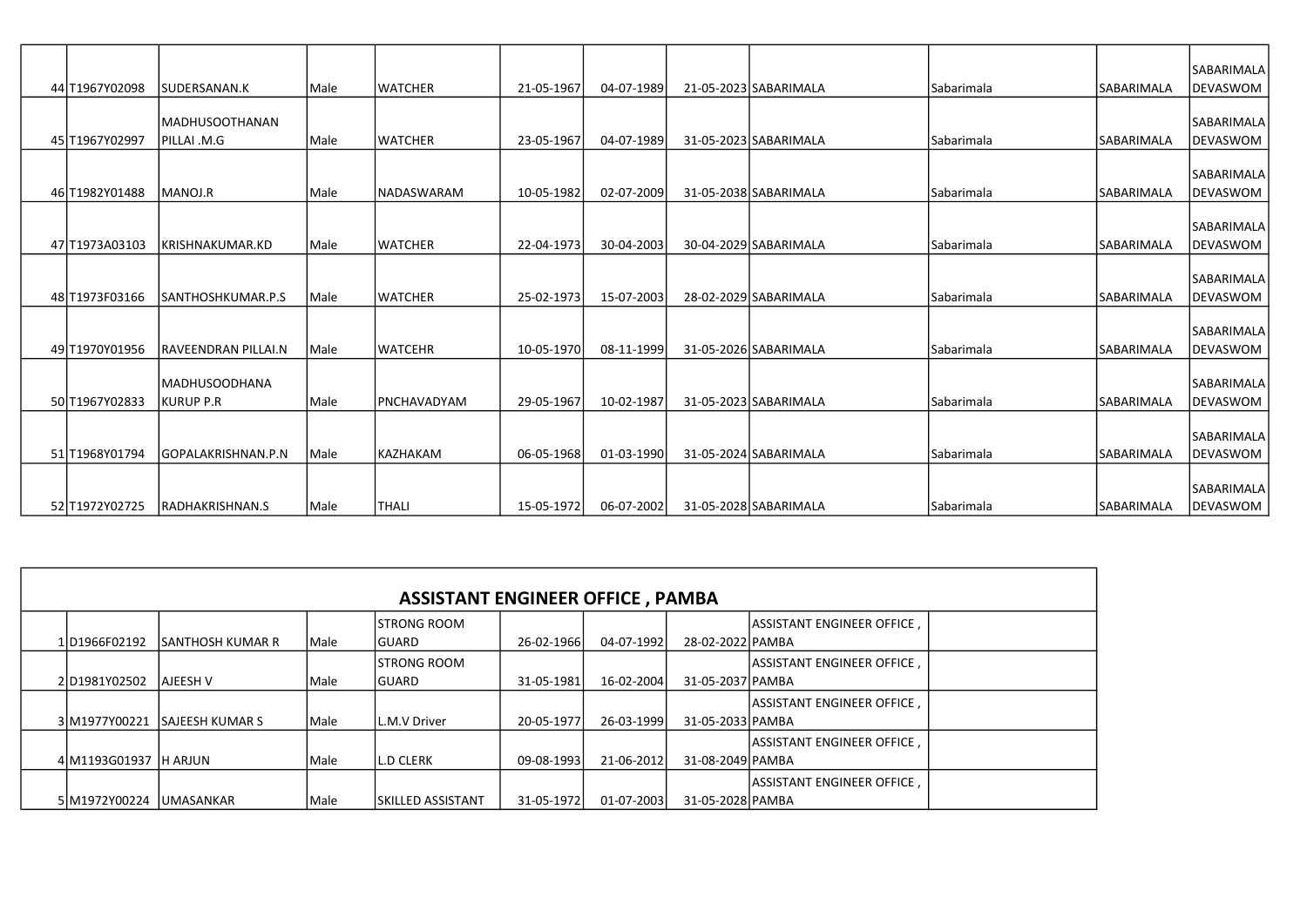|                 |                       |               |                          |            |            |                       |                   |                   | <b>SABARIMALA</b> |
|-----------------|-----------------------|---------------|--------------------------|------------|------------|-----------------------|-------------------|-------------------|-------------------|
| 44 T1967Y02098  | SUDERSANAN.K          | Male          | <b>WATCHER</b>           | 21-05-1967 | 04-07-1989 | 21-05-2023 SABARIMALA | l Sabarimala      | ISABARIMALA       | DEVASWOM          |
|                 |                       |               |                          |            |            |                       |                   |                   |                   |
|                 | <b>MADHUSOOTHANAN</b> |               |                          |            |            |                       |                   |                   | <b>SABARIMALA</b> |
| 45 T1967Y02997  | PILLAI .M.G           | Male          | <b>WATCHER</b>           | 23-05-1967 | 04-07-1989 | 31-05-2023 SABARIMALA | l Sabarimala      | lsabarımala       | DEVASWOM          |
|                 |                       |               |                          |            |            |                       |                   |                   |                   |
|                 |                       |               |                          |            |            |                       |                   |                   | SABARIMALA        |
| 46 T1982Y01488  | MANOJ.R               | <i>IMale</i>  | <i><b>NADASWARAM</b></i> | 10-05-1982 | 02-07-2009 | 31-05-2038 SABARIMALA | <b>Sabarimala</b> | <b>SABARIMALA</b> | <b>IDEVASWOM</b>  |
|                 |                       |               |                          |            |            |                       |                   |                   | SABARIMALA        |
| 47 T1973A03103  | KRISHNAKUMAR.KD       | Male          | <b>LWATCHER</b>          | 22-04-1973 | 30-04-2003 | 30-04-2029 SABARIMALA | Sabarimala        | lsabarımala       | DEVASWOM          |
|                 |                       |               |                          |            |            |                       |                   |                   |                   |
|                 |                       |               |                          |            |            |                       |                   |                   | <b>SABARIMALA</b> |
| 48 T1973 F03166 | SANTHOSHKUMAR.P.S     | <i>IMale</i>  | <b>LWATCHER</b>          | 25-02-1973 | 15-07-2003 | 28-02-2029 SABARIMALA | l Sabarimala      | İSABARIMALA       | DEVASWOM          |
|                 |                       |               |                          |            |            |                       |                   |                   |                   |
|                 |                       |               |                          |            |            |                       |                   |                   | <b>SABARIMALA</b> |
| 49 T1970Y01956  | RAVEENDRAN PILLAI.N   | Male          | <b>LWATCEHR</b>          | 10-05-1970 | 08-11-1999 | 31-05-2026 SABARIMALA | l Sabarimala      | <b>SABARIMALA</b> | DEVASWOM          |
|                 |                       |               |                          |            |            |                       |                   |                   |                   |
|                 | <b>MADHUSOODHANA</b>  |               |                          |            |            |                       |                   |                   | <b>SABARIMALA</b> |
| 50 T1967Y02833  | <b>KURUP P.R</b>      | <i>I</i> Male | <b>IPNCHAVADYAM</b>      | 29-05-1967 | 10-02-1987 | 31-05-2023 SABARIMALA | l Sabarimala      | lSABARIMALA       | DEVASWOM          |
|                 |                       |               |                          |            |            |                       |                   |                   |                   |
|                 |                       |               |                          |            |            |                       |                   |                   | <b>SABARIMALA</b> |
| 51 T1968Y01794  | GOPALAKRISHNAN.P.N    | <i>Male</i>   | lkazhakam                | 06-05-1968 | 01-03-1990 | 31-05-2024 SABARIMALA | l Sabarimala      | lsabarımala       | DEVASWOM          |
|                 |                       |               |                          |            |            |                       |                   |                   |                   |
|                 |                       |               |                          |            |            |                       |                   |                   | SABARIMALA        |
| 52 T1972Y02725  | RADHAKRISHNAN.S       | l Male        | lthali                   | 15-05-1972 | 06-07-2002 | 31-05-2028 SABARIMALA | Sabarimala        | <b>SABARIMALA</b> | DEVASWOM          |

| <b>ASSISTANT ENGINEER OFFICE, PAMBA</b> |                          |              |                                      |            |            |                  |                                    |  |  |  |  |
|-----------------------------------------|--------------------------|--------------|--------------------------------------|------------|------------|------------------|------------------------------------|--|--|--|--|
| 1D1966F02192                            | <b>ISANTHOSH KUMAR R</b> | <i>IMale</i> | <b>ISTRONG ROOM</b><br><b>IGUARD</b> | 26-02-1966 | 04-07-1992 | 28-02-2022 PAMBA | <b>LASSISTANT ENGINEER OFFICE.</b> |  |  |  |  |
| 2D1981Y02502                            | AJEESH V                 | <i>IMale</i> | <b>ISTRONG ROOM</b><br>IGUARD        | 31-05-1981 | 16-02-2004 | 31-05-2037 PAMBA | <b>LASSISTANT ENGINEER OFFICE.</b> |  |  |  |  |
| 3 M1977Y00221                           | <b>SAJEESH KUMAR S</b>   | <i>IMale</i> | L.M.V Driver                         | 20-05-1977 | 26-03-1999 | 31-05-2033 PAMBA | <b>LASSISTANT ENGINEER OFFICE.</b> |  |  |  |  |
| 4 M1193 G01937 H ARJUN                  |                          | l Male       | <b>IL.D CLERK</b>                    | 09-08-1993 | 21-06-2012 | 31-08-2049 PAMBA | <b>IASSISTANT ENGINEER OFFICE.</b> |  |  |  |  |
| 5 M1972Y00224                           | <b>UMASANKAR</b>         | l Male       | <b>ISKILLED ASSISTANT</b>            | 31-05-1972 | 01-07-2003 | 31-05-2028 PAMBA | <b>LASSISTANT ENGINEER OFFICE.</b> |  |  |  |  |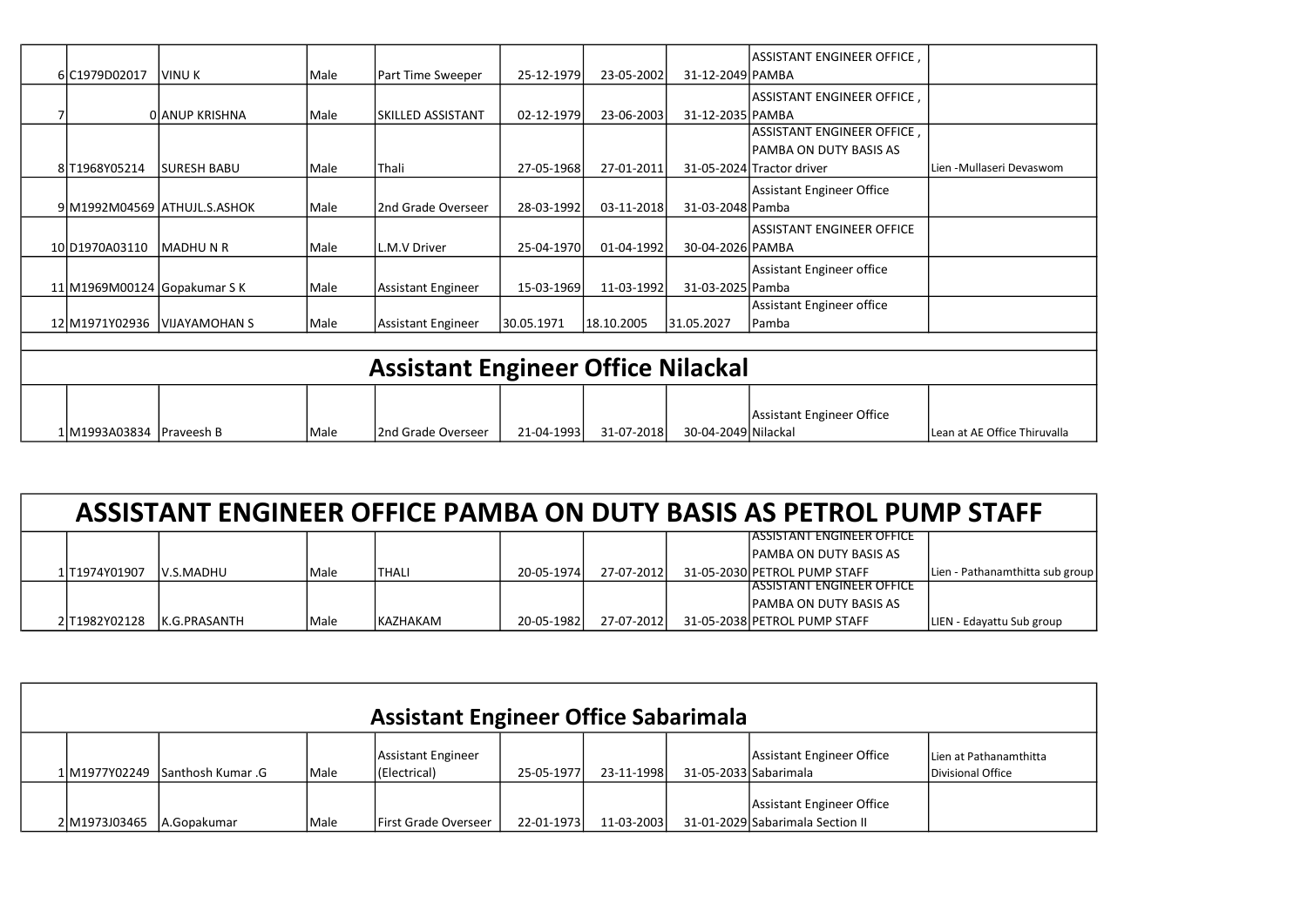|                              |                              |      |                                           |            |            |                     | ASSISTANT ENGINEER OFFICE,       |                                |
|------------------------------|------------------------------|------|-------------------------------------------|------------|------------|---------------------|----------------------------------|--------------------------------|
| 6 C1979D02017                | <b>VINU K</b>                | Male | Part Time Sweeper                         | 25-12-1979 | 23-05-2002 | 31-12-2049 PAMBA    |                                  |                                |
|                              |                              |      |                                           |            |            |                     | ASSISTANT ENGINEER OFFICE,       |                                |
|                              | OLANUP KRISHNA               | Male | lskilled assistant                        | 02-12-1979 | 23-06-2003 | 31-12-2035 PAMBA    |                                  |                                |
|                              |                              |      |                                           |            |            |                     | ASSISTANT ENGINEER OFFICE,       |                                |
|                              |                              |      |                                           |            |            |                     | PAMBA ON DUTY BASIS AS           |                                |
| 8 T1968Y05214                | <b>SURESH BABU</b>           | Male | <b>Thali</b>                              | 27-05-1968 | 27-01-2011 |                     | 31-05-2024 Tractor driver        | LLien -Mullaseri Devaswom      |
|                              |                              |      |                                           |            |            |                     | <b>Assistant Engineer Office</b> |                                |
|                              | 9 M1992M04569 ATHUJL.S.ASHOK | Male | l2nd Grade Overseer                       | 28-03-1992 | 03-11-2018 | 31-03-2048 Pamba    |                                  |                                |
|                              |                              |      |                                           |            |            |                     | <b>ASSISTANT ENGINEER OFFICE</b> |                                |
| 10 D1970A03110               | <b>MADHUNR</b>               | Male | L.M.V Driver                              | 25-04-1970 | 01-04-1992 | 30-04-2026 PAMBA    |                                  |                                |
|                              |                              |      |                                           |            |            |                     | Assistant Engineer office        |                                |
| 11 M1969M00124 Gopakumar S K |                              | Male | Assistant Engineer                        | 15-03-1969 | 11-03-1992 | 31-03-2025 Pamba    |                                  |                                |
|                              |                              |      |                                           |            |            |                     | Assistant Engineer office        |                                |
| 12 M1971Y02936               | VIJAYAMOHAN S                | Male | Assistant Engineer                        | 30.05.1971 | 18.10.2005 | 31.05.2027          | Pamba                            |                                |
|                              |                              |      |                                           |            |            |                     |                                  |                                |
|                              |                              |      | <b>Assistant Engineer Office Nilackal</b> |            |            |                     |                                  |                                |
|                              |                              |      |                                           |            |            |                     |                                  |                                |
|                              |                              |      |                                           |            |            |                     |                                  |                                |
|                              |                              |      |                                           |            |            |                     | <b>Assistant Engineer Office</b> |                                |
| 1 M1993A03834 Praveesh B     |                              | Male | l2nd Grade Overseer                       | 21-04-1993 | 31-07-2018 | 30-04-2049 Nilackal |                                  | l Lean at AE Office Thiruvalla |

| ASSISTANT ENGINEER OFFICE PAMBA ON DUTY BASIS AS PETROL PUMP STAFF |                  |        |           |            |            |  |                                   |                                 |  |  |  |
|--------------------------------------------------------------------|------------------|--------|-----------|------------|------------|--|-----------------------------------|---------------------------------|--|--|--|
|                                                                    |                  |        |           |            |            |  | IASSISTANT ENGINEER OFFICE        |                                 |  |  |  |
|                                                                    |                  |        |           |            |            |  | <b>IPAMBA ON DUTY BASIS AS</b>    |                                 |  |  |  |
| 1lT1974Y01907                                                      | <b>V.S.MADHU</b> | l Male | ITHALI    | 20-05-1974 | 27-07-2012 |  | 31-05-2030 PETROL PUMP STAFF      | Lien - Pathanamthitta sub group |  |  |  |
|                                                                    |                  |        |           |            |            |  | <b>IASSISTANT ENGINEER OFFICE</b> |                                 |  |  |  |
|                                                                    |                  |        |           |            |            |  | <b>IPAMBA ON DUTY BASIS AS</b>    |                                 |  |  |  |
| 2 T1982Y02128                                                      | IK.G.PRASANTH    | lMale  | IKAZHAKAM | 20-05-1982 | 27-07-2012 |  | 31-05-2038 PETROL PUMP STAFF      | LIEN - Edayattu Sub group       |  |  |  |

| <b>Assistant Engineer Office Sabarimala</b> |                                 |               |                                    |            |            |                       |                                                               |                                             |  |  |  |  |  |
|---------------------------------------------|---------------------------------|---------------|------------------------------------|------------|------------|-----------------------|---------------------------------------------------------------|---------------------------------------------|--|--|--|--|--|
|                                             | 1 M1977Y02249 Santhosh Kumar .G | <i>I</i> Male | Assistant Engineer<br>(Electrical) | 25-05-1977 | 23-11-1998 | 31-05-2033 Sabarimala | Assistant Engineer Office                                     | Lien at Pathanamthitta<br>Divisional Office |  |  |  |  |  |
| 2 M1973J03465                               | IA.Gopakumar                    | l Male        | <b>IFirst Grade Overseer</b>       | 22-01-1973 | 11-03-2003 |                       | Assistant Engineer Office<br>31-01-2029 Sabarimala Section II |                                             |  |  |  |  |  |